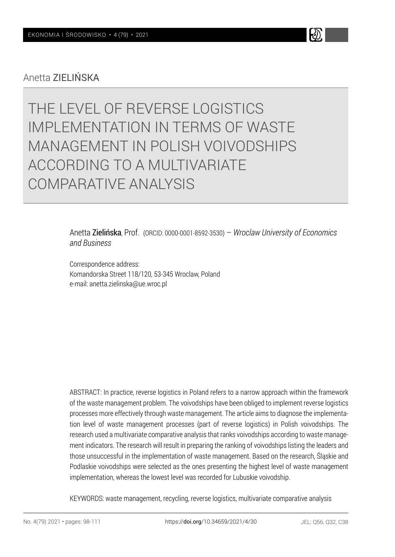Anetta ZIELIŃSKA

# THE LEVEL OF REVERSE LOGISTICS IMPLEMENTATION IN TERMS OF WASTE MANAGEMENT IN POLISH VOIVODSHIPS ACCORDING TO A MULTIVARIATE COMPARATIVE ANALYSIS

Anetta Zielińska, Prof. (ORCID: 0000-0001-8592-3530) – *Wroclaw University of Economics and Business*

Correspondence address: Komandorska Street 118/120, 53-345 Wroclaw, Poland e-mail: anetta.zielinska@ue.wroc.pl

ABSTRACT: In practice, reverse logistics in Poland refers to a narrow approach within the framework of the waste management problem. The voivodships have been obliged to implement reverse logistics processes more effectively through waste management. The article aims to diagnose the implementation level of waste management processes (part of reverse logistics) in Polish voivodships. The research used a multivariate comparative analysis that ranks voivodships according to waste management indicators. The research will result in preparing the ranking of voivodships listing the leaders and those unsuccessful in the implementation of waste management. Based on the research, Śląskie and Podlaskie voivodships were selected as the ones presenting the highest level of waste management implementation, whereas the lowest level was recorded for Lubuskie voivodship.

KEYWORDS: waste management, recycling, reverse logistics, multivariate comparative analysis

H)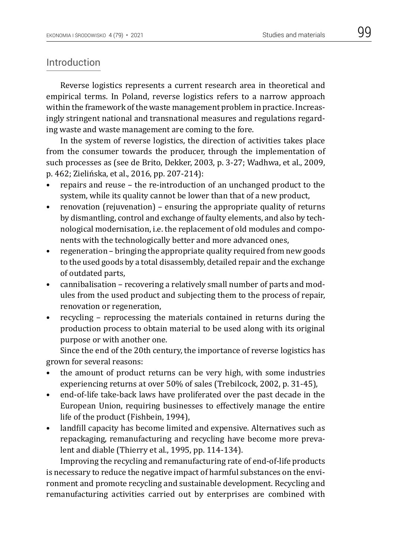#### Introduction

Reverse logistics represents a current research area in theoretical and empirical terms. In Poland, reverse logistics refers to a narrow approach within the framework of the waste management problem in practice. Increasingly stringent national and transnational measures and regulations regarding waste and waste management are coming to the fore.

In the system of reverse logistics, the direction of activities takes place from the consumer towards the producer, through the implementation of such processes as (see de Brito, Dekker, 2003, p. 3-27; Wadhwa, et al., 2009, p. 462; Zielińska, et al., 2016, pp. 207-214):

- repairs and reuse the re-introduction of an unchanged product to the system, while its quality cannot be lower than that of a new product,
- renovation (rejuvenation) ensuring the appropriate quality of returns by dismantling, control and exchange of faulty elements, and also by technological modernisation, i.e. the replacement of old modules and components with the technologically better and more advanced ones,
- regeneration bringing the appropriate quality required from new goods to the used goods by a total disassembly, detailed repair and the exchange of outdated parts,
- cannibalisation recovering a relatively small number of parts and modules from the used product and subjecting them to the process of repair, renovation or regeneration,
- recycling reprocessing the materials contained in returns during the production process to obtain material to be used along with its original purpose or with another one.

Since the end of the 20th century, the importance of reverse logistics has grown for several reasons:

- the amount of product returns can be very high, with some industries experiencing returns at over 50% of sales (Trebilcock, 2002, p. 31-45),
- end-of-life take-back laws have proliferated over the past decade in the European Union, requiring businesses to effectively manage the entire life of the product (Fishbein, 1994),
- landfill capacity has become limited and expensive. Alternatives such as repackaging, remanufacturing and recycling have become more prevalent and diable (Thierry et al., 1995, pp. 114-134).

Improving the recycling and remanufacturing rate of end-of-life products is necessary to reduce the negative impact of harmful substances on the environment and promote recycling and sustainable development. Recycling and remanufacturing activities carried out by enterprises are combined with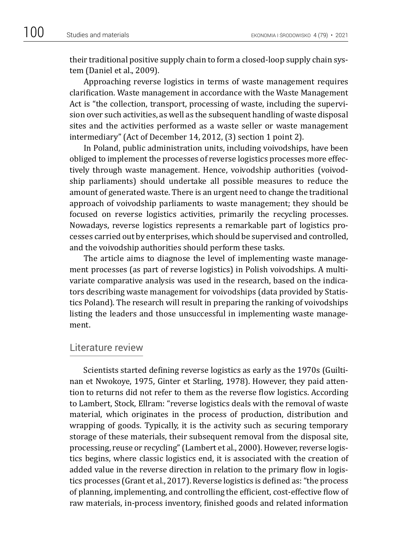their traditional positive supply chain to form a closed-loop supply chain system (Daniel et al., 2009).

Approaching reverse logistics in terms of waste management requires clarification. Waste management in accordance with the Waste Management Act is "the collection, transport, processing of waste, including the supervision over such activities, as well as the subsequent handling of waste disposal sites and the activities performed as a waste seller or waste management intermediary" (Act of December 14, 2012, (3) section 1 point 2).

In Poland, public administration units, including voivodships, have been obliged to implement the processes of reverse logistics processes more effectively through waste management. Hence, voivodship authorities (voivodship parliaments) should undertake all possible measures to reduce the amount of generated waste. There is an urgent need to change the traditional approach of voivodship parliaments to waste management; they should be focused on reverse logistics activities, primarily the recycling processes. Nowadays, reverse logistics represents a remarkable part of logistics processes carried out by enterprises, which should be supervised and controlled, and the voivodship authorities should perform these tasks.

The article aims to diagnose the level of implementing waste management processes (as part of reverse logistics) in Polish voivodships. A multivariate comparative analysis was used in the research, based on the indicators describing waste management for voivodships (data provided by Statistics Poland). The research will result in preparing the ranking of voivodships listing the leaders and those unsuccessful in implementing waste management.

## Literature review

Scientists started defining reverse logistics as early as the 1970s (Guiltinan et Nwokoye, 1975, Ginter et Starling, 1978). However, they paid attention to returns did not refer to them as the reverse flow logistics. According to Lambert, Stock, Ellram: "reverse logistics deals with the removal of waste material, which originates in the process of production, distribution and wrapping of goods. Typically, it is the activity such as securing temporary storage of these materials, their subsequent removal from the disposal site, processing, reuse or recycling" (Lambert et al., 2000). However, reverse logistics begins, where classic logistics end, it is associated with the creation of added value in the reverse direction in relation to the primary flow in logistics processes (Grant et al., 2017). Reverse logistics is defined as: "the process of planning, implementing, and controlling the efficient, cost-effective flow of raw materials, in-process inventory, finished goods and related information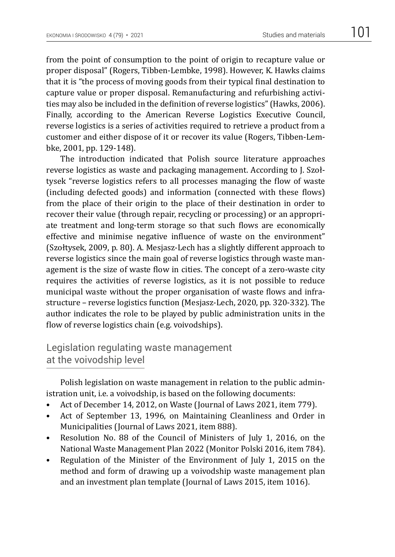from the point of consumption to the point of origin to recapture value or proper disposal" (Rogers, Tibben-Lembke, 1998). However, K. Hawks claims that it is "the process of moving goods from their typical final destination to capture value or proper disposal. Remanufacturing and refurbishing activities may also be included in the definition of reverse logistics" (Hawks, 2006). Finally, according to the American Reverse Logistics Executive Council, reverse logistics is a series of activities required to retrieve a product from a customer and either dispose of it or recover its value (Rogers, Tibben-Lembke, 2001, pp. 129-148).

The introduction indicated that Polish source literature approaches reverse logistics as waste and packaging management. According to J. Szołtysek "reverse logistics refers to all processes managing the flow of waste (including defected goods) and information (connected with these flows) from the place of their origin to the place of their destination in order to recover their value (through repair, recycling or processing) or an appropriate treatment and long-term storage so that such flows are economically effective and minimise negative influence of waste on the environment" (Szołtysek, 2009, p. 80). A. Mesjasz-Lech has a slightly different approach to reverse logistics since the main goal of reverse logistics through waste management is the size of waste flow in cities. The concept of a zero-waste city requires the activities of reverse logistics, as it is not possible to reduce municipal waste without the proper organisation of waste flows and infrastructure – reverse logistics function (Mesjasz-Lech, 2020, pp. 320-332). The author indicates the role to be played by public administration units in the flow of reverse logistics chain (e.g. voivodships).

# Legislation regulating waste management at the voivodship level

Polish legislation on waste management in relation to the public administration unit, i.e. a voivodship, is based on the following documents:

- Act of December 14, 2012, on Waste (Journal of Laws 2021, item 779).
- Act of September 13, 1996, on Maintaining Cleanliness and Order in Municipalities (Journal of Laws 2021, item 888).
- Resolution No. 88 of the Council of Ministers of July 1, 2016, on the National Waste Management Plan 2022 (Monitor Polski 2016, item 784).
- Regulation of the Minister of the Environment of July 1, 2015 on the method and form of drawing up a voivodship waste management plan and an investment plan template (Journal of Laws 2015, item 1016).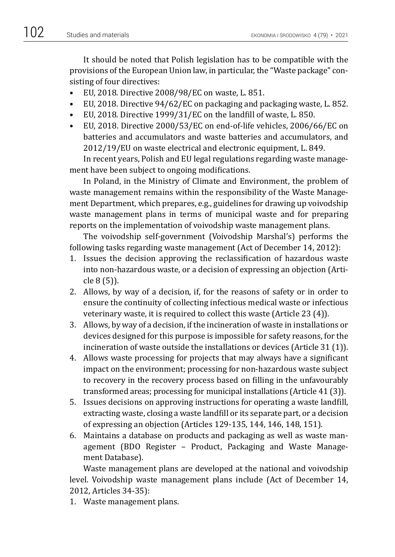It should be noted that Polish legislation has to be compatible with the provisions of the European Union law, in particular, the "Waste package" consisting of four directives:

- EU, 2018. Directive 2008/98/EC on waste, L. 851.
- EU, 2018. Directive 94/62/EC on packaging and packaging waste, L. 852.
- EU, 2018. Directive 1999/31/EC on the landfill of waste, L. 850.
- EU, 2018. Directive 2000/53/EC on end-of-life vehicles, 2006/66/EC on batteries and accumulators and waste batteries and accumulators, and 2012/19/EU on waste electrical and electronic equipment, L. 849.

In recent years, Polish and EU legal regulations regarding waste management have been subject to ongoing modifications.

In Poland, in the Ministry of Climate and Environment, the problem of waste management remains within the responsibility of the Waste Management Department, which prepares, e.g., guidelines for drawing up voivodship waste management plans in terms of municipal waste and for preparing reports on the implementation of voivodship waste management plans.

The voivodship self-government (Voivodship Marshal's) performs the following tasks regarding waste management (Act of December 14, 2012):

- 1. Issues the decision approving the reclassification of hazardous waste into non-hazardous waste, or a decision of expressing an objection (Article 8 (5)).
- 2. Allows, by way of a decision, if, for the reasons of safety or in order to ensure the continuity of collecting infectious medical waste or infectious veterinary waste, it is required to collect this waste (Article 23 (4)).
- 3. Allows, by way of a decision, if the incineration of waste in installations or devices designed for this purpose is impossible for safety reasons, for the incineration of waste outside the installations or devices (Article 31 (1)).
- 4. Allows waste processing for projects that may always have a significant impact on the environment; processing for non-hazardous waste subject to recovery in the recovery process based on filling in the unfavourably transformed areas; processing for municipal installations (Article 41 (3)).
- 5. Issues decisions on approving instructions for operating a waste landfill, extracting waste, closing a waste landfill or its separate part, or a decision of expressing an objection (Articles 129-135, 144, 146, 148, 151).
- 6. Maintains a database on products and packaging as well as waste management (BDO Register – Product, Packaging and Waste Management Database).

Waste management plans are developed at the national and voivodship level. Voivodship waste management plans include (Act of December 14, 2012, Articles 34-35):

1. Waste management plans.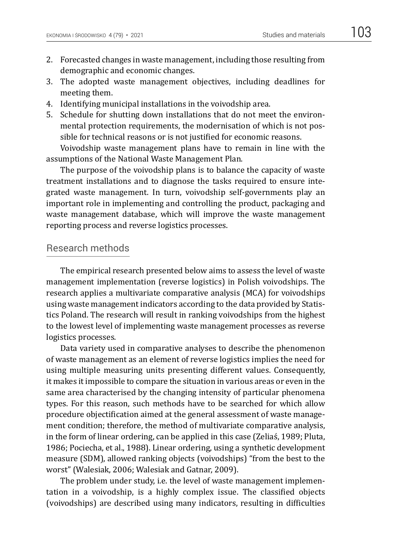- 2. Forecasted changes in waste management, including those resulting from demographic and economic changes.
- 3. The adopted waste management objectives, including deadlines for meeting them.
- 4. Identifying municipal installations in the voivodship area.
- 5. Schedule for shutting down installations that do not meet the environmental protection requirements, the modernisation of which is not possible for technical reasons or is not justified for economic reasons.

Voivodship waste management plans have to remain in line with the assumptions of the National Waste Management Plan.

The purpose of the voivodship plans is to balance the capacity of waste treatment installations and to diagnose the tasks required to ensure integrated waste management. In turn, voivodship self-governments play an important role in implementing and controlling the product, packaging and waste management database, which will improve the waste management reporting process and reverse logistics processes.

#### Research methods

The empirical research presented below aims to assess the level of waste management implementation (reverse logistics) in Polish voivodships. The research applies a multivariate comparative analysis (MCA) for voivodships using waste management indicators according to the data provided by Statistics Poland. The research will result in ranking voivodships from the highest to the lowest level of implementing waste management processes as reverse logistics processes.

Data variety used in comparative analyses to describe the phenomenon of waste management as an element of reverse logistics implies the need for using multiple measuring units presenting different values. Consequently, it makes it impossible to compare the situation in various areas or even in the same area characterised by the changing intensity of particular phenomena types. For this reason, such methods have to be searched for which allow procedure objectification aimed at the general assessment of waste management condition; therefore, the method of multivariate comparative analysis, in the form of linear ordering, can be applied in this case (Zeliaś, 1989; Pluta, 1986; Pociecha, et al., 1988). Linear ordering, using a synthetic development measure (SDM), allowed ranking objects (voivodships) "from the best to the worst" (Walesiak, 2006; Walesiak and Gatnar, 2009).

The problem under study, i.e. the level of waste management implementation in a voivodship, is a highly complex issue. The classified objects (voivodships) are described using many indicators, resulting in difficulties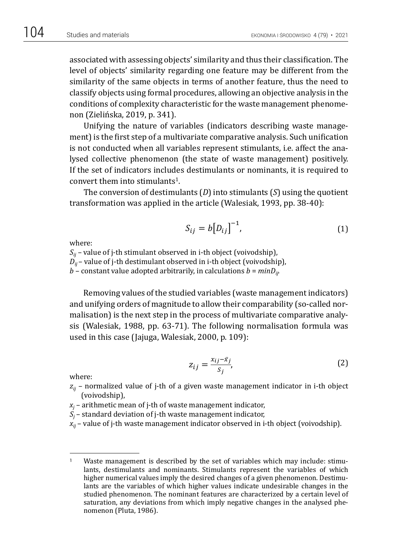associated with assessing objects' similarity and thus their classification. The level of objects' similarity regarding one feature may be different from the similarity of the same objects in terms of another feature, thus the need to classify objects using formal procedures, allowing an objective analysis in the conditions of complexity characteristic for the waste management phenomenon (Zielińska, 2019, p. 341).

Unifying the nature of variables (indicators describing waste management) is the first step of a multivariate comparative analysis. Such unification is not conducted when all variables represent stimulants, i.e. affect the analysed collective phenomenon (the state of waste management) positively. If the set of indicators includes destimulants or nominants, it is required to convert them into stimulants<sup>1</sup>.

The conversion of destimulants (*D*) into stimulants (*S*) using the quotient transformation was applied in the article (Walesiak, 1993, pp. 38-40):

$$
S_{ij} = b \big[ D_{ij} \big]^{-1}, \tag{1}
$$

where:

*Sij –* value of j-th stimulant observed in i-th object (voivodship),  $D_{ij}$  – value of j-th destimulant observed in i-th object (voivodship),  $h$  – constant value adopted arbitrarily in calculations  $h = minD_{ij}$ .  $b$  – constant value adopted arbitrarily, in calculations  $b = minD_{ij}$ .

Removing values of the studied variables (waste management indicators) and unifying orders of magnitude to allow their comparability (so-called nor-<br>maliastion) is the next step in the presess of multivariate comparative angly. malisation) is the next step in the process of multivariate comparative analysis (Walesiak, 1988, pp. 63-71). The following normalisation formula was  $\frac{1}{2}$ used in this case (Jajuga, Walesiak, 2000, p. 109):

$$
z_{ij} = \frac{x_{ij} - \bar{x}_j}{s_j},\tag{2}
$$

where:

- $z_{ij}$  normalized value of j-th of a given waste management indicator in i-th object (voivodship),
- $x_j$  arithmetic mean of j-th of waste management indicator,<br> $S =$  standard doviation of i-th waste management indicator
- $\mathcal{S}_j$  standard deviation of j-th waste management indicator,
- *xij* value of j-th waste management indicator observed in i-th object (voivodship).

<sup>&</sup>lt;sup>1</sup> Waste management is described by the set of variables which may include: stimulants, destimulants and nominants. Stimulants represent the variables of which higher numerical values imply the desired changes of a given phenomenon. Destimulants are the variables of which higher values indicate undesirable changes in the studied phenomenon. The nominant features are characterized by a certain level of saturation, any deviations from which imply negative changes in the analysed phenomenon (Pluta, 1986).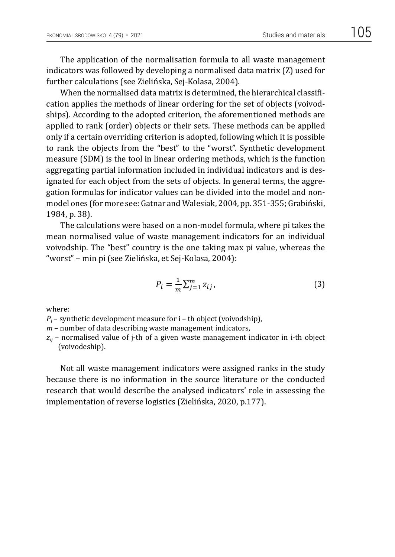The application of the normalisation formula to all waste management indicators was followed by developing a normalised data matrix (Z) used for further calculations (see Zielińska, Sej-Kolasa, 2004).

When the normalised data matrix is determined, the hierarchical classification applies the methods of linear ordering for the set of objects (voivodships). According to the adopted criterion, the aforementioned methods are applied to rank (order) objects or their sets. These methods can be applied only if a certain overriding criterion is adopted, following which it is possible to rank the objects from the "best" to the "worst". Synthetic development measure (SDM) is the tool in linear ordering methods, which is the function aggregating partial information included in individual indicators and is designated for each object from the sets of objects. In general terms, the aggregation formulas for indicator values can be divided into the model and nonmodel ones (for more see: Gatnar and Walesiak, 2004, pp. 351-355; Grabiński,<br>1984, n. 38) 1984, p. 38). =

The calculations were based on a non-model formula, where pi takes the mean normalised value of waste management indicators for an individual woivodship. The "best" country is the one taking max pi value, whereas the "worst" – min pi (see Zielińska, et Sej-Kolasa, 2004):

$$
P_i = \frac{1}{m} \sum_{j=1}^{m} z_{ij},
$$
\n(3)

where:

*Pi* – synthetic development measure for i – th object (voivodship),

*m* – number of data describing waste management indicators,

 $z_{ii}$  – normalised value of *j*-th of a given waste management indicator in *i*-th object (voivodeship).

Not all waste management indicators were assigned ranks in the study because there is no information in the source literature or the conducted research that would describe the analysed indicators' role in assessing the implementation of reverse logistics (Zielińska, 2020, p.177).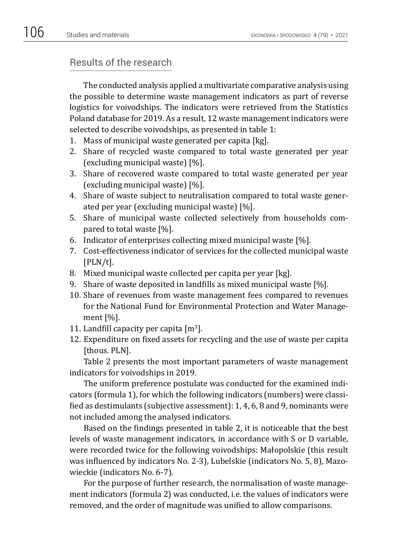## Results of the research

The conducted analysis applied a multivariate comparative analysis using the possible to determine waste management indicators as part of reverse logistics for voivodships. The indicators were retrieved from the Statistics Poland database for 2019. As a result, 12 waste management indicators were selected to describe voivodships, as presented in table 1:

- 1. Mass of municipal waste generated per capita [kg].
- 2. Share of recycled waste compared to total waste generated per year (excluding municipal waste) [%].
- 3. Share of recovered waste compared to total waste generated per year (excluding municipal waste) [%].
- 4. Share of waste subject to neutralisation compared to total waste generated per year (excluding municipal waste) [%].
- 5. Share of municipal waste collected selectively from households compared to total waste [%].
- 6. Indicator of enterprises collecting mixed municipal waste [%].
- 7. Cost-effectiveness indicator of services for the collected municipal waste [PLN/t].
- 8. Mixed municipal waste collected per capita per year [kg].
- 9. Share of waste deposited in landfills as mixed municipal waste [%].
- 10. Share of revenues from waste management fees compared to revenues for the National Fund for Environmental Protection and Water Management [%].
- 11. Landfill capacity per capita  $[m^3]$ .
- 12. Expenditure on fixed assets for recycling and the use of waste per capita [thous. PLN].

Table 2 presents the most important parameters of waste management indicators for voivodships in 2019.

The uniform preference postulate was conducted for the examined indicators (formula 1), for which the following indicators (numbers) were classified as destimulants (subjective assessment): 1, 4, 6, 8 and 9, nominants were not included among the analysed indicators.

Based on the findings presented in table 2, it is noticeable that the best levels of waste management indicators, in accordance with S or D variable, were recorded twice for the following voivodships: Małopolskie (this result was influenced by indicators No. 2-3), Lubelskie (indicators No. 5, 8), Mazowieckie (indicators No. 6-7).

For the purpose of further research, the normalisation of waste management indicators (formula 2) was conducted, i.e. the values of indicators were removed, and the order of magnitude was unified to allow comparisons.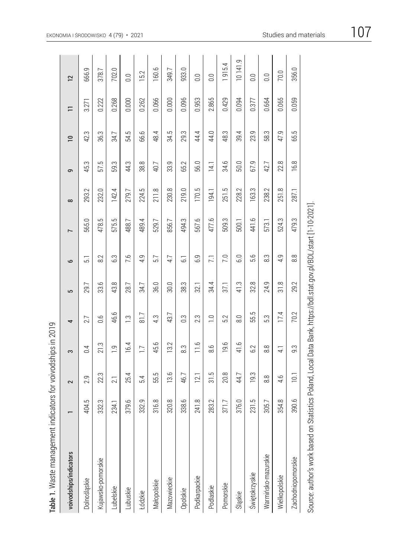| Table 1. Waste management indicators for voivodships in 2019                                                     |                  |                  |                      |                |        |                 |                |                 |                   |                          |       |                  |
|------------------------------------------------------------------------------------------------------------------|------------------|------------------|----------------------|----------------|--------|-----------------|----------------|-----------------|-------------------|--------------------------|-------|------------------|
| voivodships/indicators                                                                                           |                  | $\sim$           | S                    | 4              | 5      | 9               | $\overline{ }$ | $\infty$        | $\sigma$          | $\overline{\phantom{0}}$ | Ξ     | $\overline{12}$  |
| Dolnośląskie                                                                                                     | 404.5            | 2.9              | 0.4                  | 2.7            | 29.7   | 51              | 565.0          | 293.2           | 45.3              | 42.3                     | 3.271 | 666.9            |
| Kujawsko-pomorskie                                                                                               | 332.3            | 22.3             | 21.3                 | 0.6            | 33.6   | 8.2             | 478.5          | 232.0           | 575               | 36.3                     | 0.222 | 378.7            |
| Lubelskie                                                                                                        | 234.1            | 21               | $\overline{0}$       | 46.6           | 43.8   | 6.3             | 575.5          | 142.4           | 59.3              | 34.7                     | 0.268 | 702.0            |
| Lubuskie                                                                                                         | 379.6            | 25.4             | 16.4                 | $\frac{3}{2}$  | 28.7   | 7.6             | 488.7          | 279.7           | 44.3              | 54.5                     | 0.000 | 0.0              |
| Łódzkie                                                                                                          | 332.9            | 5.4              | $\overline{11}$      | 81.7           | 34.7   | 4.9             | 489.4          | 224.5           | 38.8              | 66.6                     | 0.262 | 15.2             |
| Małopolskie                                                                                                      | 316.8            | 55.5             | 45.6                 | 4.3            | 36.0   | 5.7             | 529.7          | 211.8           | 40.7              | 48.4                     | 0.066 | 160.6            |
| Mazowieckie                                                                                                      | 320.8            | 13.6             | 13.2                 | 43.7           | 30.0   | 4.7             | 856.7          | 230.8           | 33.9              | 34.5                     | 0.000 | 349.7            |
| Opolskie                                                                                                         | 338.6            | 46.7             | 83                   | $\frac{3}{2}$  | 38.3   | <u>ි</u>        | 494.3          | 219.0           | 65.2              | 29.3                     | 0.096 | 933.0            |
| Podkarpackie                                                                                                     | $\infty$<br>241. | 12.1             | 11.6                 | 23             | 32.1   | 6.9             | 567.6          | 170.5           | 56.0              | 44.4                     | 0.953 | 0.0              |
| Podlaskie                                                                                                        | 283.2            | 31.5             | 8.6                  | $\overline{C}$ | 34.4   | $\overline{71}$ | 477.6          | 194.1           | $\overline{14.1}$ | 44.0                     | 2.865 | 0.0              |
| Pomorskie                                                                                                        | 371.7            | 20.8             | 9.6                  | 5.2            | 37,1   | 7.0             | 509.3          | جا<br>251       | 34.6              | 48.3                     | 0.429 | 1915.4           |
| Śląskie                                                                                                          | 376.0            | 44.7             | 41.6                 | $\frac{8}{10}$ | 41.3   | 0.9             | 500.1          | 228.2           | 50.0              | 39.4                     | 0.094 | 10141.9          |
| Świętokrzyskie                                                                                                   | ب<br>231         | Ċ.<br><u>ioj</u> | 62                   | جا<br>55.      | 32.8   | 5.6             | 441.6          | 163.3           | 67.9              | 23.9                     | 0.377 | $\overline{0}$ . |
| Warmińsko-mazurskie                                                                                              | 305.7            | $\frac{8}{8}$    | $_{\infty}^{\infty}$ | 5.3            | 24.9   | က<br>∞          | 573.           | 238.2           | 42.7              | S<br>58                  | 0.664 | 0.0              |
| Wielkopolskie                                                                                                    | 354.8            | 4.6              | $\overline{4}$       | 17.4           | œ<br>ಸ | 9<br>4.         | 524.3          | $\infty$<br>251 | 22.8              | 47.9                     | 0.065 | 70.0             |
| Zachodniopomorskie                                                                                               | 390.6            | 10.1             | $9.\overline{3}$     | 70.2           | 29.2   | $\frac{8}{8}$   | 479.3          | 287.1           | 16.8              | بما<br>59                | 0.059 | 356.0            |
| Source: author's work based on Statistics Poland, Local Data Bank, https://bdl.stat.gov.pl/BDL/start [1-10-2021] |                  |                  |                      |                |        |                 |                |                 |                   |                          |       |                  |

 $\overline{1}$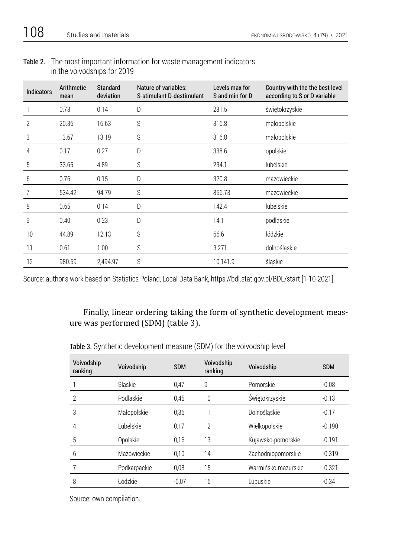| Table 2. The most important information for waste management indicators |
|-------------------------------------------------------------------------|
| in the voivodships for 2019                                             |

| <b>Indicators</b> | Arithmetic<br>mean | <b>Standard</b><br>deviation | Nature of variables:<br>S-stimulant D-destimulant | Levels max for<br>S and min for D | Country with the the best level<br>according to S or D variable |
|-------------------|--------------------|------------------------------|---------------------------------------------------|-----------------------------------|-----------------------------------------------------------------|
|                   | 0.73               | 0.14                         | D                                                 | 231.5                             | świętokrzyskie                                                  |
| 2                 | 20.36              | 16.63                        | S                                                 | 316.8                             | małopolskie                                                     |
| 3                 | 13.67              | 13.19                        | S                                                 | 316.8                             | małopolskie                                                     |
| 4                 | 0.17               | 0.27                         | D                                                 | 338.6                             | opolskie                                                        |
| 5                 | 33.65              | 4.89                         | S                                                 | 234.1                             | lubelskie                                                       |
| 6                 | 0.76               | 0.15                         | D                                                 | 320.8                             | mazowieckie                                                     |
|                   | 534.42             | 94.79                        | S                                                 | 856.73                            | mazowieckie                                                     |
| 8                 | 0.65               | 0.14                         | D                                                 | 142.4                             | lubelskie                                                       |
| 9                 | 0.40               | 0.23                         | D                                                 | 14.1                              | podlaskie                                                       |
| 10                | 44.89              | 12.13                        | S                                                 | 66.6                              | łódzkie                                                         |
| 11                | 0.61               | 1.00                         | S                                                 | 3.271                             | dolnośląskie                                                    |
| 12                | 980.59             | 2,494.97                     | S                                                 | 10,141.9                          | śląskie                                                         |

Source: author's work based on Statistics Poland, Local Data Bank, https://bdl.stat.gov.pl/BDL/start [1-10-2021].

## Finally, linear ordering taking the form of synthetic development measure was performed (SDM) (table 3).

| Voivodship<br>ranking | Voivodship   | <b>SDM</b> | Voivodship<br>ranking | Voivodship          | <b>SDM</b> |
|-----------------------|--------------|------------|-----------------------|---------------------|------------|
|                       | Śląskie      | 0.47       | 9                     | Pomorskie           | $-0.08$    |
| $\overline{2}$        | Podlaskie    | 0.45       | 10                    | Świętokrzyskie      | $-0.13$    |
| 3                     | Małopolskie  | 0.36       | 11                    | Dolnoślaskie        | $-0.17$    |
| 4                     | Lubelskie    | 0,17       | 12                    | Wielkopolskie       | $-0.190$   |
| 5                     | Opolskie     | 0.16       | 13                    | Kujawsko-pomorskie  | $-0.191$   |
| 6                     | Mazowieckie  | 0.10       | 14                    | Zachodniopomorskie  | $-0.319$   |
|                       | Podkarpackie | 0,08       | 15                    | Warmińsko-mazurskie | $-0.321$   |
| 8                     | Łódzkie      | $-0.07$    | 16                    | Lubuskie            | $-0.34$    |

Table 3. Synthetic development measure (SDM) for the voivodship level

Source: own compilation.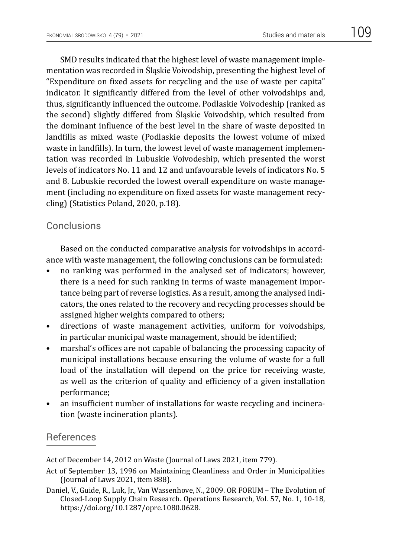SMD results indicated that the highest level of waste management implementation was recorded in Śląskie Voivodship, presenting the highest level of "Expenditure on fixed assets for recycling and the use of waste per capita" indicator. It significantly differed from the level of other voivodships and, thus, significantly influenced the outcome. Podlaskie Voivodeship (ranked as the second) slightly differed from Śląskie Voivodship, which resulted from the dominant influence of the best level in the share of waste deposited in landfills as mixed waste (Podlaskie deposits the lowest volume of mixed waste in landfills). In turn, the lowest level of waste management implementation was recorded in Lubuskie Voivodeship, which presented the worst levels of indicators No. 11 and 12 and unfavourable levels of indicators No. 5 and 8. Lubuskie recorded the lowest overall expenditure on waste management (including no expenditure on fixed assets for waste management recycling) (Statistics Poland, 2020, p.18).

## Conclusions

Based on the conducted comparative analysis for voivodships in accordance with waste management, the following conclusions can be formulated:

- no ranking was performed in the analysed set of indicators; however, there is a need for such ranking in terms of waste management importance being part of reverse logistics. As a result, among the analysed indicators, the ones related to the recovery and recycling processes should be assigned higher weights compared to others;
- directions of waste management activities, uniform for voivodships, in particular municipal waste management, should be identified;
- marshal's offices are not capable of balancing the processing capacity of municipal installations because ensuring the volume of waste for a full load of the installation will depend on the price for receiving waste, as well as the criterion of quality and efficiency of a given installation performance;
- an insufficient number of installations for waste recycling and incineration (waste incineration plants).

### References

Act of December 14, 2012 on Waste (Journal of Laws 2021, item 779).

Act of September 13, 1996 on Maintaining Cleanliness and Order in Municipalities (Journal of Laws 2021, item 888).

Daniel, V., Guide, R., Luk, Jr., Van Wassenhove, N., 2009. OR FORUM – The Evolution of Closed-Loop Supply Chain Research. Operations Research, Vol. 57, No. 1, 10-18, https://doi.org/10.1287/opre.1080.0628.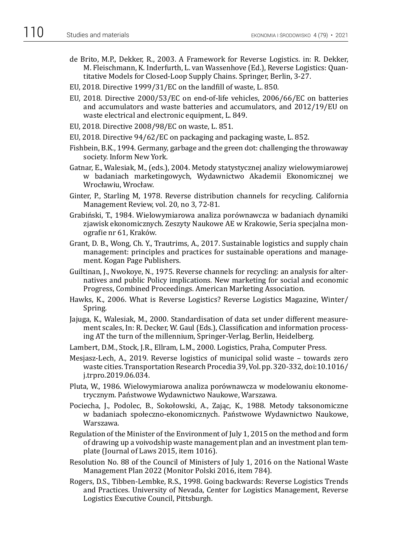- de Brito, M.P., Dekker, R., 2003. A Framework for Reverse Logistics. in: R. Dekker, M. Fleischmann, K. Inderfurth, L. van Wassenhove (Ed.), Reverse Logistics: Quantitative Models for Closed-Loop Supply Chains. Springer, Berlin, 3-27.
- EU, 2018. Directive 1999/31/EC on the landfill of waste, L. 850.
- EU, 2018. Directive 2000/53/EC on end-of-life vehicles, 2006/66/EC on batteries and accumulators and waste batteries and accumulators, and 2012/19/EU on waste electrical and electronic equipment, L. 849.
- EU, 2018. Directive 2008/98/EC on waste, L. 851.
- EU, 2018. Directive 94/62/EC on packaging and packaging waste, L. 852.
- Fishbein, B.K., 1994. Germany, garbage and the green dot: challenging the throwaway society. Inform New York.
- Gatnar, E., Walesiak, M., (eds.), 2004. Metody statystycznej analizy wielowymiarowej w badaniach marketingowych, Wydawnictwo Akademii Ekonomicznej we Wrocławiu, Wrocław.
- Ginter, P., Starling M, 1978. Reverse distribution channels for recycling. California Management Review, vol. 20, no 3, 72-81.
- Grabiński, T., 1984. Wielowymiarowa analiza porównawcza w badaniach dynamiki zjawisk ekonomicznych. Zeszyty Naukowe AE w Krakowie, Seria specjalna monografie nr 61, Kraków.
- Grant, D. B., Wong, Ch. Y., Trautrims, A., 2017. Sustainable logistics and supply chain management: principles and practices for sustainable operations and management. Kogan Page Publishers.
- Guiltinan, J., Nwokoye, N., 1975. Reverse channels for recycling: an analysis for alternatives and public Policy implications. New marketing for social and economic Progress, Combined Proceedings. American Marketing Association.
- Hawks, K., 2006. What is Reverse Logistics? Reverse Logistics Magazine, Winter/ Spring.
- Jajuga, K., Walesiak, M., 2000. Standardisation of data set under different measurement scales, In: R. Decker, W. Gaul (Eds.), Classification and information processing AT the turn of the millennium, Springer-Verlag, Berlin, Heidelberg.
- Lambert, D.M., Stock, J.R., Ellram, L.M., 2000. Logistics, Praha, Computer Press.
- Mesjasz-Lech, A., 2019. Reverse logistics of municipal solid waste towards zero waste cities. Transportation Research Procedia 39, Vol. pp. 320-332, doi:10.1016/ j.trpro.2019.06.034.
- Pluta, W., 1986. Wielowymiarowa analiza porównawcza w modelowaniu ekonometrycznym. Państwowe Wydawnictwo Naukowe, Warszawa.
- Pociecha, J., Podolec, B., Sokołowski, A., Zając, K., 1988. Metody taksonomiczne w badaniach społeczno-ekonomicznych. Państwowe Wydawnictwo Naukowe, Warszawa.
- Regulation of the Minister of the Environment of July 1, 2015 on the method and form of drawing up a voivodship waste management plan and an investment plan template (Journal of Laws 2015, item 1016).
- Resolution No. 88 of the Council of Ministers of July 1, 2016 on the National Waste Management Plan 2022 (Monitor Polski 2016, item 784).
- Rogers, D.S., Tibben-Lembke, R.S., 1998. Going backwards: Reverse Logistics Trends and Practices. University of Nevada, Center for Logistics Management, Reverse Logistics Executive Council, Pittsburgh.